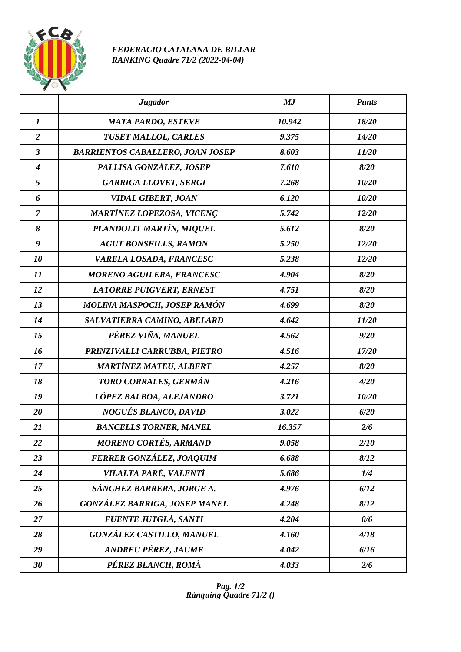

## *FEDERACIO CATALANA DE BILLAR RANKING Quadre 71/2 (2022-04-04)*

|                  | <b>Jugador</b>                          | MJ     | <b>Punts</b> |
|------------------|-----------------------------------------|--------|--------------|
| $\boldsymbol{l}$ | <b>MATA PARDO, ESTEVE</b>               | 10.942 | 18/20        |
| $\overline{2}$   | <b>TUSET MALLOL, CARLES</b>             | 9.375  | 14/20        |
| $\mathfrak{z}$   | <b>BARRIENTOS CABALLERO, JOAN JOSEP</b> | 8.603  | 11/20        |
| $\boldsymbol{4}$ | PALLISA GONZÁLEZ, JOSEP                 | 7.610  | 8/20         |
| 5                | <b>GARRIGA LLOVET, SERGI</b>            | 7.268  | 10/20        |
| 6                | <b>VIDAL GIBERT, JOAN</b>               | 6.120  | 10/20        |
| $\overline{7}$   | <b>MARTÍNEZ LOPEZOSA, VICENÇ</b>        | 5.742  | 12/20        |
| 8                | PLANDOLIT MARTÍN, MIQUEL                | 5.612  | 8/20         |
| $\boldsymbol{g}$ | <b>AGUT BONSFILLS, RAMON</b>            | 5.250  | 12/20        |
| 10               | VARELA LOSADA, FRANCESC                 | 5.238  | 12/20        |
| 11               | <b>MORENO AGUILERA, FRANCESC</b>        | 4.904  | 8/20         |
| 12               | <b>LATORRE PUIGVERT, ERNEST</b>         | 4.751  | 8/20         |
| 13               | MOLINA MASPOCH, JOSEP RAMÓN             | 4.699  | 8/20         |
| 14               | SALVATIERRA CAMINO, ABELARD             | 4.642  | 11/20        |
| 15               | PÉREZ VIÑA, MANUEL                      | 4.562  | 9/20         |
| 16               | PRINZIVALLI CARRUBBA, PIETRO            | 4.516  | 17/20        |
| 17               | <b>MARTÍNEZ MATEU, ALBERT</b>           | 4.257  | 8/20         |
| 18               | TORO CORRALES, GERMÁN                   | 4.216  | 4/20         |
| 19               | LÓPEZ BALBOA, ALEJANDRO                 | 3.721  | 10/20        |
| 20               | NOGUÉS BLANCO, DAVID                    | 3.022  | 6/20         |
| 21               | <b>BANCELLS TORNER, MANEL</b>           | 16.357 | 2/6          |
| 22               | <b>MORENO CORTÉS, ARMAND</b>            | 9.058  | 2/10         |
| 23               | FERRER GONZÁLEZ, JOAQUIM                | 6.688  | 8/12         |
| 24               | VILALTA PARÉ, VALENTÍ                   | 5.686  | 1/4          |
| 25               | SÁNCHEZ BARRERA, JORGE A.               | 4.976  | 6/12         |
| 26               | <b>GONZÁLEZ BARRIGA, JOSEP MANEL</b>    | 4.248  | 8/12         |
| 27               | <b>FUENTE JUTGLÀ, SANTI</b>             | 4.204  | 0/6          |
| 28               | <b>GONZÁLEZ CASTILLO, MANUEL</b>        | 4.160  | 4/18         |
| 29               | <b>ANDREU PÉREZ, JAUME</b>              | 4.042  | 6/16         |
| 30               | PÉREZ BLANCH, ROMÀ                      | 4.033  | 2/6          |

*Pag. 1/2 Rànquing Quadre 71/2 ()*